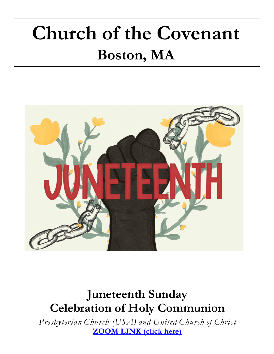# **Church of the Covenant Boston, MA**



## **Juneteenth Sunday Celebration of Holy Communion**

*Presbyterian Church (USA) and United Church of Christ* **[ZOOM](https://us02web.zoom.us/j/91025989890?pwd=VTd0L3VMc3ErRDBRTllpTTEvRGNZUT09) LINK (click here)**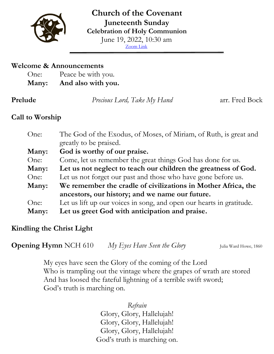

**Church of the Covenant Juneteenth Sunday Celebration of Holy Communion** June 19, 2022, 10:30 am [Zoom](https://us02web.zoom.us/j/91025989890?pwd=VTd0L3VMc3ErRDBRTllpTTEvRGNZUT09) Link

#### **Welcome & Announcements**

| <b>Many:</b> | And also with you. |
|--------------|--------------------|
| One:         | Peace be with you. |

**Prelude** *Precious Lord, Take My Hand* arr. Fred Bock

#### **Call to Worship**

| One:  | The God of the Exodus, of Moses, of Miriam, of Ruth, is great and    |  |
|-------|----------------------------------------------------------------------|--|
|       | greatly to be praised.                                               |  |
| Many: | God is worthy of our praise.                                         |  |
| One:  | Come, let us remember the great things God has done for us.          |  |
| Many: | Let us not neglect to teach our children the greatness of God.       |  |
| One:  | Let us not forget our past and those who have gone before us.        |  |
| Many: | We remember the cradle of civilizations in Mother Africa, the        |  |
|       | ancestors, our history; and we name our future.                      |  |
| One:  | Let us lift up our voices in song, and open our hearts in gratitude. |  |
| Many: | Let us greet God with anticipation and praise.                       |  |

#### **Kindling the Christ Light**

**Opening Hymn** NCH 610 *My Eyes Have Seen the Glory* Julia Ward Howe, 1860

My eyes have seen the Glory of the coming of the Lord Who is trampling out the vintage where the grapes of wrath are stored And has loosed the fateful lightning of a terrible swift sword; God's truth is marching on.

> *Refrain* Glory, Glory, Hallelujah! Glory, Glory, Hallelujah! Glory, Glory, Hallelujah! God's truth is marching on.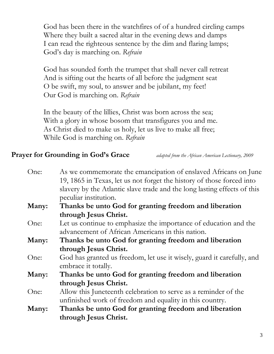God has been there in the watchfires of of a hundred circling camps Where they built a sacred altar in the evening dews and damps I can read the righteous sentence by the dim and flaring lamps; God's day is marching on. *Refrain*

God has sounded forth the trumpet that shall never call retreat And is sifting out the hearts of all before the judgment seat O be swift, my soul, to answer and be jubilant, my feet! Our God is marching on. *Refrain*

In the beauty of the lillies, Christ was born across the sea; With a glory in whose bosom that transfigures you and me. As Christ died to make us holy, let us live to make all free; While God is marching on. *Refrain*

#### **Prayer for Grounding in God's Grace** *adapted from the African American Lectionary, 2009*

| One:  | As we commemorate the emancipation of enslaved Africans on June          |
|-------|--------------------------------------------------------------------------|
|       | 19, 1865 in Texas, let us not forget the history of those forced into    |
|       | slavery by the Atlantic slave trade and the long lasting effects of this |
|       | peculiar institution.                                                    |
| Many: | Thanks be unto God for granting freedom and liberation                   |
|       | through Jesus Christ.                                                    |
| One:  | Let us continue to emphasize the importance of education and the         |
|       | advancement of African Americans in this nation.                         |
| Many: | Thanks be unto God for granting freedom and liberation                   |
|       | through Jesus Christ.                                                    |
| One:  | God has granted us freedom, let use it wisely, guard it carefully, and   |
|       | embrace it totally.                                                      |
| Many: | Thanks be unto God for granting freedom and liberation                   |
|       | through Jesus Christ.                                                    |
| One:  | Allow this Juneteenth celebration to serve as a reminder of the          |
|       | unfinished work of freedom and equality in this country.                 |
| Many: | Thanks be unto God for granting freedom and liberation                   |
|       | through Jesus Christ.                                                    |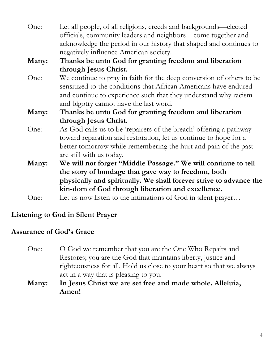| One:  | Let all people, of all religions, creeds and backgrounds—elected     |
|-------|----------------------------------------------------------------------|
|       | officials, community leaders and neighbors—come together and         |
|       | acknowledge the period in our history that shaped and continues to   |
|       | negatively influence American society.                               |
| Many: | Thanks be unto God for granting freedom and liberation               |
|       | through Jesus Christ.                                                |
| One:  | We continue to pray in faith for the deep conversion of others to be |
|       | sensitized to the conditions that African Americans have endured     |
|       | and continue to experience such that they understand why racism      |
|       | and bigotry cannot have the last word.                               |
| Many: | Thanks be unto God for granting freedom and liberation               |
|       | through Jesus Christ.                                                |
| One:  | As God calls us to be 'repairers of the breach' offering a pathway   |
|       | toward reparation and restoration, let us continue to hope for a     |
|       | better tomorrow while remembering the hurt and pain of the past      |
|       | are still with us today.                                             |
| Many: | We will not forget "Middle Passage." We will continue to tell        |
|       | the story of bondage that gave way to freedom, both                  |
|       | physically and spiritually. We shall forever strive to advance the   |
|       | kin-dom of God through liberation and excellence.                    |
| One:  | Let us now listen to the intimations of God in silent prayer         |

### **Listening to God in Silent Prayer**

### **Assurance of God's Grace**

- One: O God we remember that you are the One Who Repairs and Restores; you are the God that maintains liberty, justice and righteousness for all. Hold us close to your heart so that we always act in a way that is pleasing to you.
- **Many: In Jesus Christ we are set free and made whole. Alleluia, Amen!**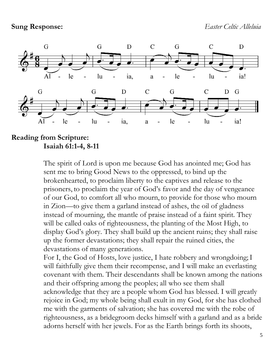

#### **Reading from Scripture: Isaiah 61:1-4, 8-11**

The spirit of Lord is upon me because God has anointed me; God has sent me to bring Good News to the oppressed, to bind up the brokenhearted, to proclaim liberty to the captives and release to the prisoners, to proclaim the year of God's favor and the day of vengeance of our God, to comfort all who mourn, to provide for those who mourn in Zion—to give them a garland instead of ashes, the oil of gladness instead of mourning, the mantle of praise instead of a faint spirit. They will be called oaks of righteousness, the planting of the Most High, to display God's glory. They shall build up the ancient ruins; they shall raise up the former devastations; they shall repair the ruined cities, the devastations of many generations.

For I, the God of Hosts, love justice, I hate robbery and wrongdoing;I will faithfully give them their recompense, and I will make an everlasting covenant with them. Their descendants shall be known among the nations and their offspring among the peoples; all who see them shall acknowledge that they are a people whom God has blessed. I will greatly rejoice in God; my whole being shall exult in my God, for she has clothed me with the garments of salvation; she has covered me with the robe of righteousness, as a bridegroom decks himself with a garland and as a bride adorns herself with her jewels. For as the Earth brings forth its shoots,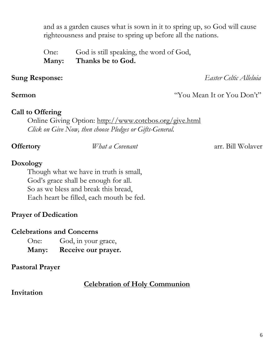and as a garden causes what is sown in it to spring up, so God will cause righteousness and praise to spring up before all the nations.

One: God is still speaking, the word of God, **Many: Thanks be to God.**

**Sung Response:** *Easter Celtic Alleluia*

#### **Sermon** "You Mean It or You Don't"

#### **Call to Offering**

Online Giving Option: <http://www.cotcbos.org/give.html> *Click on Give Now, then choose Pledges or Gifts-General.*

**Offertory** *What a Covenant* arr. Bill Wolaver

#### **Doxology**

Though what we have in truth is small, God's grace shall be enough for all. So as we bless and break this bread, Each heart be filled, each mouth be fed.

#### **Prayer of Dedication**

#### **Celebrations and Concerns**

    One:     God, in your grace,      **Many: Receive our prayer.**

#### **Pastoral Prayer**

#### **Celebration of Holy Communion**

#### **Invitation**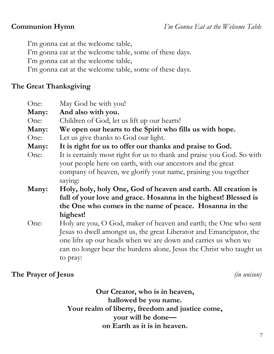I'm gonna eat at the welcome table,

I'm gonna eat at the welcome table, some of these days.

I'm gonna eat at the welcome table,

I'm gonna eat at the welcome table, some of these days.

#### **The Great Thanksgiving**

| May God be with you!                                                   |
|------------------------------------------------------------------------|
| And also with you.                                                     |
| Children of God, let us lift up our hearts!                            |
| We open our hearts to the Spirit who fills us with hope.               |
| Let us give thanks to God our light.                                   |
| It is right for us to offer our thanks and praise to God.              |
| It is certainly most right for us to thank and praise you God. So with |
| your people here on earth, with our ancestors and the great            |
| company of heaven, we glorify your name, praising you together         |
| saying:                                                                |
| Holy, holy, holy One, God of heaven and earth. All creation is         |
| full of your love and grace. Hosanna in the highest! Blessed is        |
| the One who comes in the name of peace. Hosanna in the                 |
| highest!                                                               |
| Holy are you, O God, maker of heaven and earth; the One who sent       |
| Jesus to dwell amongst us, the great Liberator and Emancipator, the    |
| one lifts up our heads when we are down and carries us when we         |
| can no longer bear the burdens alone, Jesus the Christ who taught us   |
| to pray:                                                               |
|                                                                        |

**The Prayer of Jesus** *(in unison)*

**Our Creator, who is in heaven, hallowed be you name. Your realm of liberty, freedom and justice come, your will be done on Earth as it is in heaven.**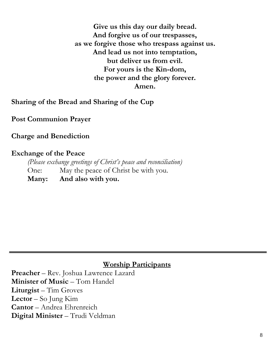**Give us this day our daily bread. And forgive us of our trespasses, as we forgive those who trespass against us. And lead us not into temptation, but deliver us from evil. For yours is the Kin-dom, the power and the glory forever. Amen.**

**Sharing of the Bread and Sharing of the Cup**

**Post Communion Prayer**

**Charge and Benediction**

#### **Exchange of the Peace**

*(Please exchange greetings of Christ's peace and reconciliation)* One: May the peace of Christ be with you. **Many: And also with you.**

#### **Worship Participants**

**Preacher** – Rev. Joshua Lawrence Lazard **Minister of Music** – Tom Handel **Liturgist** – Tim Groves **Lector** – So Jung Kim **Cantor** – Andrea Ehrenreich **Digital Minister** – Trudi Veldman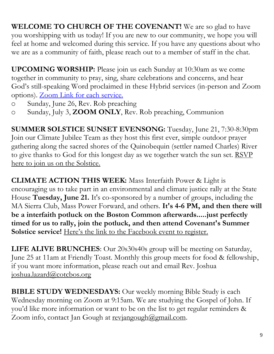**WELCOME TO CHURCH OF THE COVENANT!** We are so glad to have you worshipping with us today! If you are new to our community, we hope you will feel at home and welcomed during this service. If you have any questions about who we are as a community of faith, please reach out to a member of staff in the chat.

**UPCOMING WORSHIP:** Please join us each Sunday at 10:30am as we come together in community to pray, sing, share celebrations and concerns, and hear God's still-speaking Word proclaimed in these Hybrid services (in-person and Zoom options). [Zoom](https://us02web.zoom.us/j/91025989890?pwd=VTd0L3VMc3ErRDBRTllpTTEvRGNZUT09) Link for each service.

- o Sunday, June 26, Rev. Rob preaching
- o Sunday, July 3, **ZOOM ONLY**, Rev. Rob preaching, Communion

**SUMMER SOLSTICE SUNSET EVENSONG:** Tuesday, June 21, 7:30-8:30pm Join our Climate Jubilee Team as they host this first ever, simple outdoor prayer gathering along the sacred shores of the Quinobequin (settler named Charles) River to give thanks to God for this longest day as we together watch the sun set. [RSVP](https://docs.google.com/forms/d/e/1FAIpQLScv8JpivNWCwsuBTqdDl33Z1_odhukNjXQHNvNuzsXqo_tWBA/viewform) here to join us on the [Solstice.](https://docs.google.com/forms/d/e/1FAIpQLScv8JpivNWCwsuBTqdDl33Z1_odhukNjXQHNvNuzsXqo_tWBA/viewform)

**CLIMATE ACTION THIS WEEK:** Mass Interfaith Power & Light is encouraging us to take part in an environmental and climate justice rally at the State House **Tuesday, June 21.** It's co-sponsored by a number of groups, including the MA Sierra Club, Mass Power Forward, and others. **It's 4-6 PM, and then there will be a interfaith potluck on the Boston Common afterwards.....just perfectly timed for us to rally, join the potluck, and then attend Covenant's Summer Solstice service!** Here's the link to [the Facebook event to](https://www.facebook.com/events/1366676000499288/?acontext=%7B%22event_action_history%22%3A%5b%7B%22mechanism%22%3A%22your_upcoming_events_unit%22%2C%22surface%22%3A%22bookmark%22%7D%5d%2C%22ref_notif_type%22%3Anull%7D) register.

**LIFE ALIVE BRUNCHES**: Our 20s30s40s group will be meeting on Saturday, June 25 at 11am at Friendly Toast. Monthly this group meets for food & fellowship, if you want more information, please reach out and email Rev. Joshua [joshua.lazard@cotcbos.org](mailto:joshua.lazard@cotcbos.org)

**BIBLE STUDY WEDNESDAYS:** Our weekly morning Bible Study is each Wednesday morning on Zoom at 9:15am. We are studying the Gospel of John. If you'd like more information or want to be on the list to get regular reminders & Zoom info, contact Jan Gough at [revjangough@gmail.com.](mailto:revjangough@gmail.com)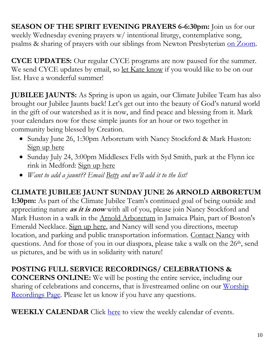**SEASON OF THE SPIRIT EVENING PRAYERS 6-6:30pm:** Join us for our weekly Wednesday evening prayers w/ intentional liturgy, contemplative song, psalms & sharing of prayers with our siblings from Newton Presbyterian on [Zoom](https://us02web.zoom.us/j/88999202076?pwd=bU9XQ0JuR0F1bXhrTUV2eVBDcHIxdz09).

**CYCE UPDATES:** Our regular CYCE programs are now paused for the summer. We send CYCE updates by email, so let Kate [know](mailto:kate.carlisle@cotcbos.org) if you would like to be on our list. Have a wonderful summer!

**JUBILEE JAUNTS:** As Spring is upon us again, our Climate Jubilee Team has also brought our Jubilee Jaunts back! Let's get out into the beauty of God's natural world in the gift of our watershed as it is now, and find peace and blessing from it. Mark your calendars now for these simple jaunts for an hour or two together in community being blessed by Creation.

- Sunday June 26, 1:30pm Arboretum with Nancy Stockford & Mark Huston: Sign up [here](https://docs.google.com/forms/d/e/1FAIpQLSdDDFByz1f4FAtcf46oPRz2zP3S6P86y94kCmqe1iP3AIRtLQ/viewform)
- Sunday July 24, 3:00pm Middlesex Fells with Syd Smith, park at the Flynn ice rink in Medford: Sign up [here](https://docs.google.com/forms/d/e/1FAIpQLSdGWFs2edP4eeNbyXKl4dp88K2oinC_bfZ_48wN0s347J-znQ/viewform)
- *Want to add a jaunt?? Email [Betty](mailto:southwickbetty@gmail.com) and we'll add it to the list!*

### **CLIMATE JUBILEE JAUNT SUNDAY JUNE 26 ARNOLD ARBORETUM**

**1:30pm:** As part of the Climate Jubilee Team's continued goal of being outside and appreciating nature **as it is now** with all of you, please join Nancy Stockford and Mark Huston in a walk in the Arnold [Arboretum](https://r20.rs6.net/tn.jsp?f=001zdgJBrGCWVKoZWGJM3JPSs5iBH36pN8YhcozvDRJw96cGHgtv7h_82mFMZfrDR2dImFvTRK_mxN2K4Lp_d5rMG0zlpkAy05GkixpNf2gtAYJ3EbPryKzjRiGfSZ00zCXSFmadKX5KLbzPnuNHs_RSTUGyjsX3b4xWM9jhiVI6xs0LXZHz5e0rg3h8F-y7MJyp85fiP3eNmM=&c=C2K3xbKV7B0LRoPj0rLp4ykjZ7sGqyQ-MHQ4FdBo65kHNJo9wg72cQ==&ch=8a51kppmhpxmctkL_TzMc5DTrY6FLdlQUc4MdwYFx9OoNezKbAoJ6g==) in Jamaica Plain, part of Boston's Emerald Necklace. Sign up [here,](https://docs.google.com/forms/d/e/1FAIpQLSdDDFByz1f4FAtcf46oPRz2zP3S6P86y94kCmqe1iP3AIRtLQ/viewform) and Nancy will send you directions, meetup location, and parking and public transportation information. [Contact](mailto:nstockford333@hotmail.com) Nancy with questions. And for those of you in our diaspora, please take a walk on the 26<sup>th</sup>, send us pictures, and be with us in solidarity with nature!

### **POSTING FULL SERVICE RECORDINGS/ CELEBRATIONS &**

**CONCERNS ONLINE:** We will be posting the entire service, including our sharing of celebrations and concerns, that is livestreamed online on our [Worship](https://www.cotcbos.org/worship-recordings.html) [Recordings](https://www.cotcbos.org/worship-recordings.html) Page. Please let us know if you have any questions.

**WEEKLY CALENDAR** Click [here](https://www.cotcbos.org/calendar-of-events.html) to view the weekly calendar of events.